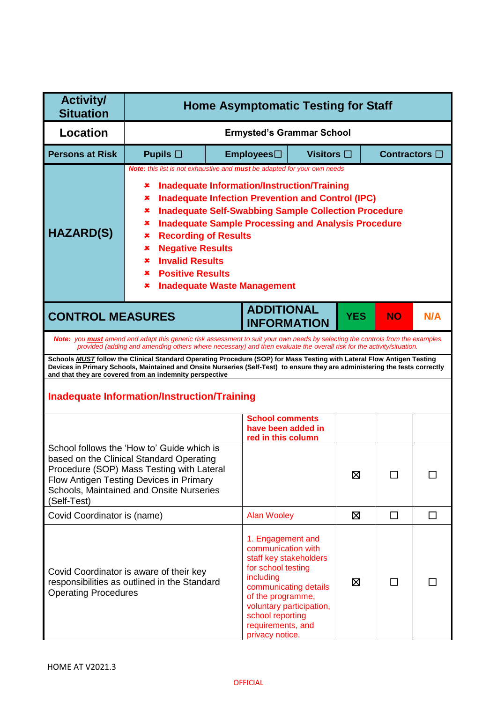| <b>Activity/</b><br><b>Situation</b>                                                                                                                                                                                                                                                                                                                                                                                                                                                                                                                 | <b>Home Asymptomatic Testing for Staff</b>                                                                                                                                                                                 |                                                                                                                                                                                                                                                        |   |            |           |        |
|------------------------------------------------------------------------------------------------------------------------------------------------------------------------------------------------------------------------------------------------------------------------------------------------------------------------------------------------------------------------------------------------------------------------------------------------------------------------------------------------------------------------------------------------------|----------------------------------------------------------------------------------------------------------------------------------------------------------------------------------------------------------------------------|--------------------------------------------------------------------------------------------------------------------------------------------------------------------------------------------------------------------------------------------------------|---|------------|-----------|--------|
| Location                                                                                                                                                                                                                                                                                                                                                                                                                                                                                                                                             |                                                                                                                                                                                                                            | <b>Ermysted's Grammar School</b>                                                                                                                                                                                                                       |   |            |           |        |
| <b>Persons at Risk</b>                                                                                                                                                                                                                                                                                                                                                                                                                                                                                                                               | Pupils $\Box$                                                                                                                                                                                                              | Contractors $\square$<br>Employees□<br>Visitors $\square$                                                                                                                                                                                              |   |            |           |        |
| Note: this list is not exhaustive and <b>must</b> be adapted for your own needs<br><b>Inadequate Information/Instruction/Training</b><br>×<br><b>Inadequate Infection Prevention and Control (IPC)</b><br>×<br><b>Inadequate Self-Swabbing Sample Collection Procedure</b><br>×<br><b>Inadequate Sample Processing and Analysis Procedure</b><br>×<br><b>HAZARD(S)</b><br><b>Recording of Results</b><br>×<br><b>Negative Results</b><br>×<br><b>Invalid Results</b><br>×<br><b>Positive Results</b><br>×<br><b>Inadequate Waste Management</b><br>× |                                                                                                                                                                                                                            |                                                                                                                                                                                                                                                        |   |            |           |        |
| <b>CONTROL MEASURES</b>                                                                                                                                                                                                                                                                                                                                                                                                                                                                                                                              |                                                                                                                                                                                                                            | <b>ADDITIONAL</b><br><b>INFORMATION</b>                                                                                                                                                                                                                |   | <b>YES</b> | <b>NO</b> | N/A    |
|                                                                                                                                                                                                                                                                                                                                                                                                                                                                                                                                                      |                                                                                                                                                                                                                            | Note: you must amend and adapt this generic risk assessment to suit your own needs by selecting the controls from the examples<br>provided (adding and amending others where necessary) and then evaluate the overall risk for the activity/situation. |   |            |           |        |
|                                                                                                                                                                                                                                                                                                                                                                                                                                                                                                                                                      | and that they are covered from an indemnity perspective                                                                                                                                                                    | Schools MUST follow the Clinical Standard Operating Procedure (SOP) for Mass Testing with Lateral Flow Antigen Testing<br>Devices in Primary Schools, Maintained and Onsite Nurseries (Self-Test) to ensure they are administering the tests correctly |   |            |           |        |
|                                                                                                                                                                                                                                                                                                                                                                                                                                                                                                                                                      | <b>Inadequate Information/Instruction/Training</b>                                                                                                                                                                         |                                                                                                                                                                                                                                                        |   |            |           |        |
|                                                                                                                                                                                                                                                                                                                                                                                                                                                                                                                                                      |                                                                                                                                                                                                                            | <b>School comments</b><br>have been added in<br>red in this column                                                                                                                                                                                     |   |            |           |        |
| (Self-Test)                                                                                                                                                                                                                                                                                                                                                                                                                                                                                                                                          | School follows the 'How to' Guide which is<br>based on the Clinical Standard Operating<br>Procedure (SOP) Mass Testing with Lateral<br>Flow Antigen Testing Devices in Primary<br>Schools, Maintained and Onsite Nurseries |                                                                                                                                                                                                                                                        |   | ⊠          |           |        |
|                                                                                                                                                                                                                                                                                                                                                                                                                                                                                                                                                      |                                                                                                                                                                                                                            |                                                                                                                                                                                                                                                        |   | 区          | $\Box$    | $\Box$ |
| Covid Coordinator is (name)<br><b>Alan Wooley</b><br>1. Engagement and<br>communication with<br>staff key stakeholders<br>for school testing<br>Covid Coordinator is aware of their key<br>including<br>responsibilities as outlined in the Standard<br>communicating details<br><b>Operating Procedures</b><br>of the programme,<br>voluntary participation,<br>school reporting<br>requirements, and<br>privacy notice.                                                                                                                            |                                                                                                                                                                                                                            |                                                                                                                                                                                                                                                        | Χ | ΙI         |           |        |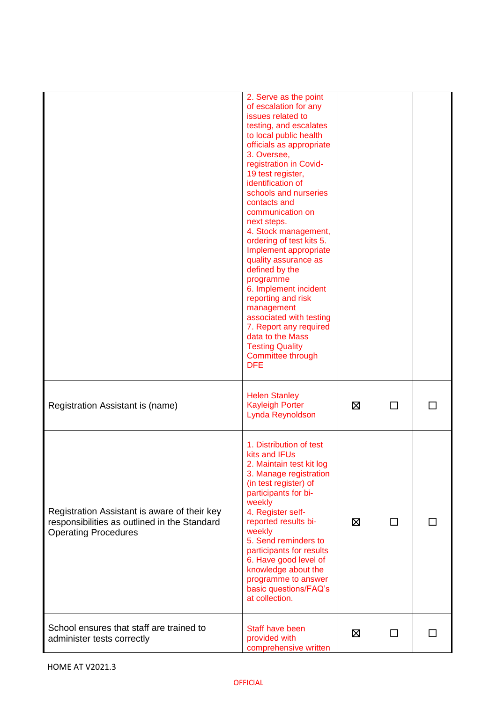|                                                                                                                             | 2. Serve as the point<br>of escalation for any<br>issues related to<br>testing, and escalates<br>to local public health<br>officials as appropriate<br>3. Oversee,<br>registration in Covid-<br>19 test register,<br>identification of<br>schools and nurseries<br>contacts and<br>communication on<br>next steps.<br>4. Stock management,<br>ordering of test kits 5.<br>Implement appropriate<br>quality assurance as<br>defined by the<br>programme<br>6. Implement incident<br>reporting and risk<br>management<br>associated with testing<br>7. Report any required<br>data to the Mass<br><b>Testing Quality</b><br>Committee through<br><b>DFE</b> |   |   |  |
|-----------------------------------------------------------------------------------------------------------------------------|-----------------------------------------------------------------------------------------------------------------------------------------------------------------------------------------------------------------------------------------------------------------------------------------------------------------------------------------------------------------------------------------------------------------------------------------------------------------------------------------------------------------------------------------------------------------------------------------------------------------------------------------------------------|---|---|--|
| Registration Assistant is (name)                                                                                            | <b>Helen Stanley</b><br><b>Kayleigh Porter</b><br>Lynda Reynoldson                                                                                                                                                                                                                                                                                                                                                                                                                                                                                                                                                                                        | ⊠ | П |  |
| Registration Assistant is aware of their key<br>responsibilities as outlined in the Standard<br><b>Operating Procedures</b> | 1. Distribution of test<br>kits and IFUs<br>2. Maintain test kit log<br>3. Manage registration<br>(in test register) of<br>participants for bi-<br>weekly<br>4. Register self-<br>reported results bi-<br>weekly<br>5. Send reminders to<br>participants for results<br>6. Have good level of<br>knowledge about the<br>programme to answer<br>basic questions/FAQ's<br>at collection.                                                                                                                                                                                                                                                                    | ⊠ | П |  |
| School ensures that staff are trained to<br>administer tests correctly                                                      | Staff have been<br>provided with<br>comprehensive written                                                                                                                                                                                                                                                                                                                                                                                                                                                                                                                                                                                                 | ⊠ |   |  |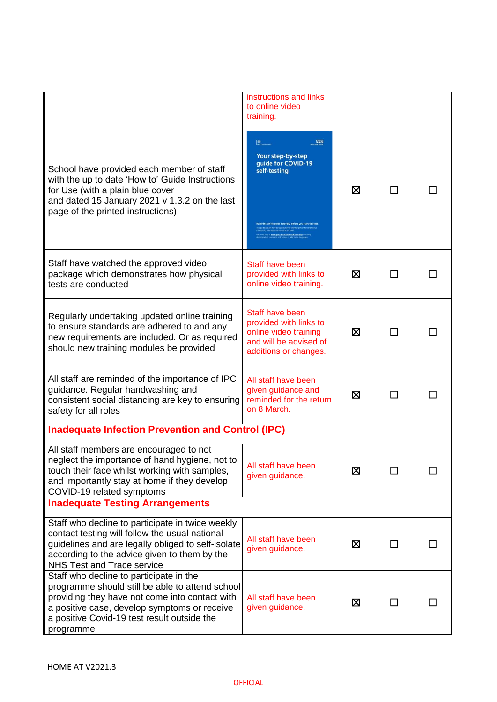|                                                                                                                                                                                                                                                          | instructions and links<br>to online video<br>training.                                                                |   |        |  |
|----------------------------------------------------------------------------------------------------------------------------------------------------------------------------------------------------------------------------------------------------------|-----------------------------------------------------------------------------------------------------------------------|---|--------|--|
| School have provided each member of staff<br>with the up to date 'How to' Guide Instructions<br>for Use (with a plain blue cover<br>and dated 15 January 2021 v 1.3.2 on the last<br>page of the printed instructions)                                   | <b>AS</b><br><b>NHS</b><br>Your step-by-step<br>guide for COVID-19<br>self-testing                                    | ⊠ | ΙI     |  |
| Staff have watched the approved video<br>package which demonstrates how physical<br>tests are conducted                                                                                                                                                  | Staff have been<br>provided with links to<br>online video training.                                                   | ⊠ | ΙI     |  |
| Regularly undertaking updated online training<br>to ensure standards are adhered to and any<br>new requirements are included. Or as required<br>should new training modules be provided                                                                  | Staff have been<br>provided with links to<br>online video training<br>and will be advised of<br>additions or changes. | ⊠ | ΙI     |  |
| All staff are reminded of the importance of IPC<br>guidance. Regular handwashing and<br>consistent social distancing are key to ensuring<br>safety for all roles                                                                                         | All staff have been<br>given guidance and<br>reminded for the return<br>on 8 March.                                   | ⊠ |        |  |
| <b>Inadequate Infection Prevention and Control (IPC)</b>                                                                                                                                                                                                 |                                                                                                                       |   |        |  |
| All staff members are encouraged to not<br>neglect the importance of hand hygiene, not to<br>touch their face whilst working with samples,<br>and importantly stay at home if they develop<br>COVID-19 related symptoms                                  | All staff have been<br>given guidance.                                                                                | ⊠ |        |  |
| <b>Inadequate Testing Arrangements</b>                                                                                                                                                                                                                   |                                                                                                                       |   |        |  |
| Staff who decline to participate in twice weekly<br>contact testing will follow the usual national<br>guidelines and are legally obliged to self-isolate<br>according to the advice given to them by the<br><b>NHS Test and Trace service</b>            | All staff have been<br>given guidance.                                                                                | ⊠ | ΙI     |  |
| Staff who decline to participate in the<br>programme should still be able to attend school<br>providing they have not come into contact with<br>a positive case, develop symptoms or receive<br>a positive Covid-19 test result outside the<br>programme | All staff have been<br>given guidance.                                                                                | ⊠ | $\Box$ |  |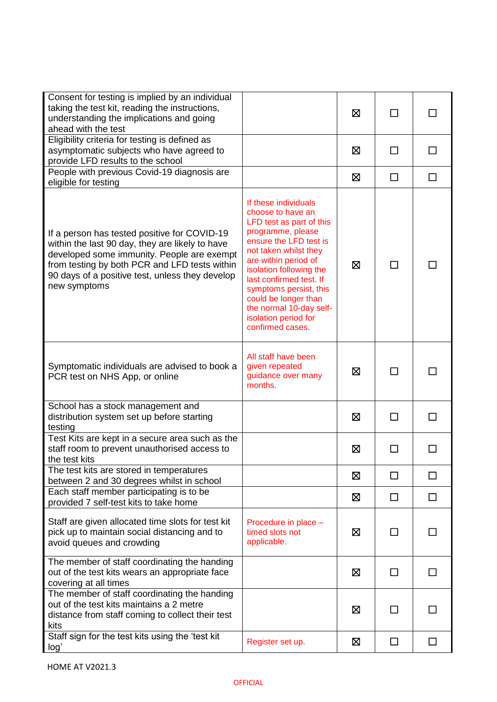| Consent for testing is implied by an individual<br>taking the test kit, reading the instructions,<br>understanding the implications and going<br>ahead with the test                                                                                              |                                                                                                                                                                                                                                                                                                                                                      | ⊠ | ΙI           |        |
|-------------------------------------------------------------------------------------------------------------------------------------------------------------------------------------------------------------------------------------------------------------------|------------------------------------------------------------------------------------------------------------------------------------------------------------------------------------------------------------------------------------------------------------------------------------------------------------------------------------------------------|---|--------------|--------|
| Eligibility criteria for testing is defined as<br>asymptomatic subjects who have agreed to<br>provide LFD results to the school                                                                                                                                   |                                                                                                                                                                                                                                                                                                                                                      | 区 |              | П      |
| People with previous Covid-19 diagnosis are<br>eligible for testing                                                                                                                                                                                               |                                                                                                                                                                                                                                                                                                                                                      | ⊠ | $\Box$       | П      |
| If a person has tested positive for COVID-19<br>within the last 90 day, they are likely to have<br>developed some immunity. People are exempt<br>from testing by both PCR and LFD tests within<br>90 days of a positive test, unless they develop<br>new symptoms | If these individuals<br>choose to have an<br>LFD test as part of this<br>programme, please<br>ensure the LFD test is<br>not taken whilst they<br>are within period of<br>isolation following the<br>last confirmed test. If<br>symptoms persist, this<br>could be longer than<br>the normal 10-day self-<br>isolation period for<br>confirmed cases. | 区 |              |        |
| Symptomatic individuals are advised to book a<br>PCR test on NHS App, or online                                                                                                                                                                                   | All staff have been<br>given repeated<br>guidance over many<br>months.                                                                                                                                                                                                                                                                               | 区 |              |        |
| School has a stock management and<br>distribution system set up before starting<br>testing                                                                                                                                                                        |                                                                                                                                                                                                                                                                                                                                                      | ⊠ | ΙI           | П      |
| Test Kits are kept in a secure area such as the<br>staff room to prevent unauthorised access to<br>the test kits                                                                                                                                                  |                                                                                                                                                                                                                                                                                                                                                      | ⊠ | $\mathsf{L}$ | ΙI     |
| The test kits are stored in temperatures<br>between 2 and 30 degrees whilst in school                                                                                                                                                                             |                                                                                                                                                                                                                                                                                                                                                      | 区 | $\Box$       | ΙI     |
| Each staff member participating is to be<br>provided 7 self-test kits to take home                                                                                                                                                                                |                                                                                                                                                                                                                                                                                                                                                      | ⊠ | □            | $\Box$ |
| Staff are given allocated time slots for test kit<br>pick up to maintain social distancing and to<br>avoid queues and crowding                                                                                                                                    | Procedure in place -<br>timed slots not<br>applicable.                                                                                                                                                                                                                                                                                               | ⊠ |              |        |
| The member of staff coordinating the handing<br>out of the test kits wears an appropriate face<br>covering at all times                                                                                                                                           |                                                                                                                                                                                                                                                                                                                                                      | 区 | $\Box$       | $\Box$ |
| The member of staff coordinating the handing<br>out of the test kits maintains a 2 metre<br>distance from staff coming to collect their test<br>kits                                                                                                              |                                                                                                                                                                                                                                                                                                                                                      | ⊠ |              |        |
| Staff sign for the test kits using the 'test kit<br>log'                                                                                                                                                                                                          | Register set up.                                                                                                                                                                                                                                                                                                                                     | 区 | □            | $\Box$ |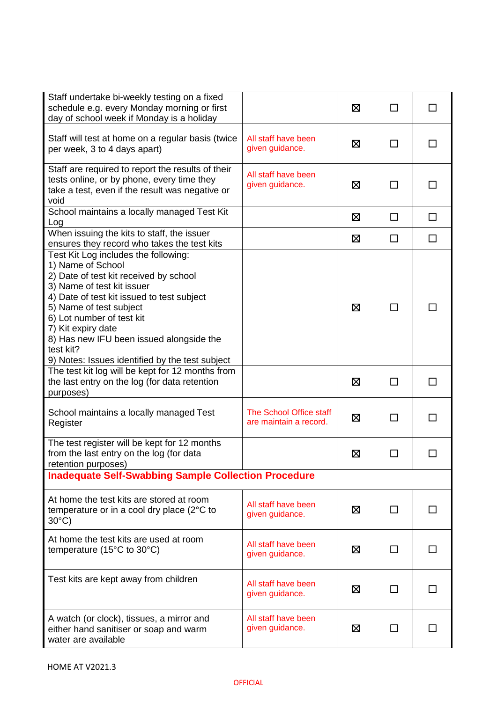| Staff undertake bi-weekly testing on a fixed<br>schedule e.g. every Monday morning or first<br>day of school week if Monday is a holiday                                                                                                                                                                                                                                  |                                                   | ⊠ | □      | $\perp$      |
|---------------------------------------------------------------------------------------------------------------------------------------------------------------------------------------------------------------------------------------------------------------------------------------------------------------------------------------------------------------------------|---------------------------------------------------|---|--------|--------------|
| Staff will test at home on a regular basis (twice<br>per week, 3 to 4 days apart)                                                                                                                                                                                                                                                                                         | All staff have been<br>given guidance.            | 区 | П      |              |
| Staff are required to report the results of their<br>tests online, or by phone, every time they<br>take a test, even if the result was negative or<br>void                                                                                                                                                                                                                | All staff have been<br>given guidance.            | 区 | П      |              |
| School maintains a locally managed Test Kit<br>Log                                                                                                                                                                                                                                                                                                                        |                                                   | 区 | $\Box$ | $\Box$       |
| When issuing the kits to staff, the issuer<br>ensures they record who takes the test kits                                                                                                                                                                                                                                                                                 |                                                   | 区 | $\Box$ | $\Box$       |
| Test Kit Log includes the following:<br>1) Name of School<br>2) Date of test kit received by school<br>3) Name of test kit issuer<br>4) Date of test kit issued to test subject<br>5) Name of test subject<br>6) Lot number of test kit<br>7) Kit expiry date<br>8) Has new IFU been issued alongside the<br>test kit?<br>9) Notes: Issues identified by the test subject |                                                   | ⊠ | ΙI     |              |
| The test kit log will be kept for 12 months from<br>the last entry on the log (for data retention<br>purposes)                                                                                                                                                                                                                                                            |                                                   | ⊠ | □      | $\mathsf{L}$ |
| School maintains a locally managed Test<br>Register                                                                                                                                                                                                                                                                                                                       | The School Office staff<br>are maintain a record. | Σ | $\Box$ | $\Box$       |
| The test register will be kept for 12 months<br>from the last entry on the log (for data<br>retention purposes)                                                                                                                                                                                                                                                           |                                                   | 区 | $\Box$ |              |
| <b>Inadequate Self-Swabbing Sample Collection Procedure</b>                                                                                                                                                                                                                                                                                                               |                                                   |   |        |              |
| At home the test kits are stored at room<br>temperature or in a cool dry place (2°C to<br>$30^{\circ}$ C)                                                                                                                                                                                                                                                                 | All staff have been<br>given guidance.            | ⊠ | ΙI     |              |
| At home the test kits are used at room<br>temperature (15 $^{\circ}$ C to 30 $^{\circ}$ C)                                                                                                                                                                                                                                                                                | All staff have been<br>given guidance.            | ⊠ | П      |              |
| Test kits are kept away from children                                                                                                                                                                                                                                                                                                                                     | All staff have been<br>given guidance.            | 区 | ΙI     |              |
| A watch (or clock), tissues, a mirror and<br>either hand sanitiser or soap and warm<br>water are available                                                                                                                                                                                                                                                                | All staff have been<br>given guidance.            | ⊠ | ΙI     |              |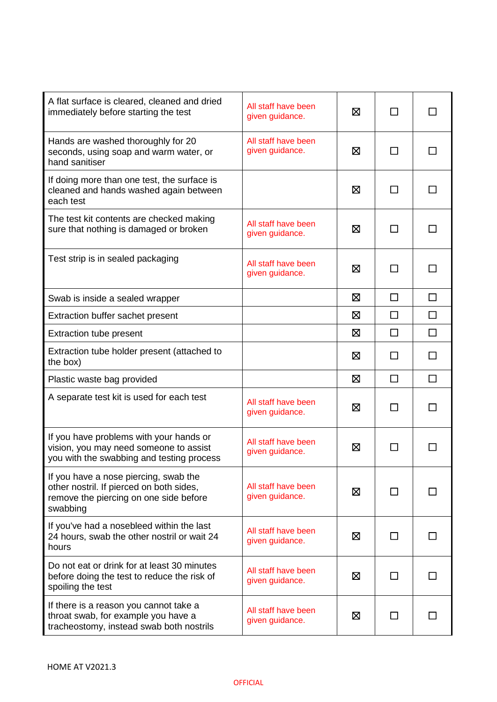| A flat surface is cleared, cleaned and dried<br>immediately before starting the test                                                    | All staff have been<br>given guidance. | ⊠ |              |              |
|-----------------------------------------------------------------------------------------------------------------------------------------|----------------------------------------|---|--------------|--------------|
| Hands are washed thoroughly for 20<br>seconds, using soap and warm water, or<br>hand sanitiser                                          | All staff have been<br>given guidance. | 区 |              |              |
| If doing more than one test, the surface is<br>cleaned and hands washed again between<br>each test                                      |                                        | ⊠ |              |              |
| The test kit contents are checked making<br>sure that nothing is damaged or broken                                                      | All staff have been<br>given guidance. | ⊠ | $\mathsf{L}$ | $\mathsf{L}$ |
| Test strip is in sealed packaging                                                                                                       | All staff have been<br>given guidance. | ⊠ |              | ΙI           |
| Swab is inside a sealed wrapper                                                                                                         |                                        | ⊠ | П            | $\Box$       |
| Extraction buffer sachet present                                                                                                        |                                        | 区 | ΙI           | $\Box$       |
| <b>Extraction tube present</b>                                                                                                          |                                        | ⊠ | $\mathsf{L}$ | $\Box$       |
| Extraction tube holder present (attached to<br>the box)                                                                                 |                                        | 区 |              | П            |
| Plastic waste bag provided                                                                                                              |                                        | ⊠ | П            | $\Box$       |
| A separate test kit is used for each test                                                                                               | All staff have been<br>given guidance. | ⊠ | $\mathbf{I}$ |              |
| If you have problems with your hands or<br>vision, you may need someone to assist<br>you with the swabbing and testing process          | All staff have been<br>given guidance. | ⊠ |              |              |
| If you have a nose piercing, swab the<br>other nostril. If pierced on both sides,<br>remove the piercing on one side before<br>swabbing | All staff have been<br>given guidance. | ⊠ |              |              |
| If you've had a nosebleed within the last<br>24 hours, swab the other nostril or wait 24<br>hours                                       | All staff have been<br>given guidance. | ⊠ |              |              |
| Do not eat or drink for at least 30 minutes<br>before doing the test to reduce the risk of<br>spoiling the test                         | All staff have been<br>given guidance. | ⊠ |              |              |
| If there is a reason you cannot take a<br>throat swab, for example you have a<br>tracheostomy, instead swab both nostrils               | All staff have been<br>given guidance. | ⊠ |              |              |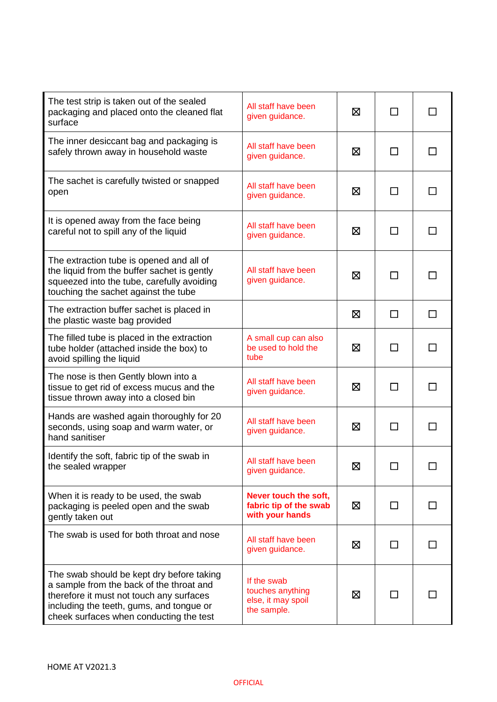| The test strip is taken out of the sealed<br>packaging and placed onto the cleaned flat<br>surface                                                                                                                       | All staff have been<br>given guidance.                               | ⊠ | $\blacksquare$ |              |
|--------------------------------------------------------------------------------------------------------------------------------------------------------------------------------------------------------------------------|----------------------------------------------------------------------|---|----------------|--------------|
| The inner desiccant bag and packaging is<br>safely thrown away in household waste                                                                                                                                        | All staff have been<br>given guidance.                               | ⊠ |                |              |
| The sachet is carefully twisted or snapped<br>open                                                                                                                                                                       | All staff have been<br>given guidance.                               | ⊠ |                |              |
| It is opened away from the face being<br>careful not to spill any of the liquid                                                                                                                                          | All staff have been<br>given guidance.                               | ⊠ |                |              |
| The extraction tube is opened and all of<br>the liquid from the buffer sachet is gently<br>squeezed into the tube, carefully avoiding<br>touching the sachet against the tube                                            | All staff have been<br>given guidance.                               | ⊠ |                |              |
| The extraction buffer sachet is placed in<br>the plastic waste bag provided                                                                                                                                              |                                                                      | ⊠ | $\Box$         | □            |
| The filled tube is placed in the extraction<br>tube holder (attached inside the box) to<br>avoid spilling the liquid                                                                                                     | A small cup can also<br>be used to hold the<br>tube                  | ⊠ | П              | П            |
| The nose is then Gently blown into a<br>tissue to get rid of excess mucus and the<br>tissue thrown away into a closed bin                                                                                                | All staff have been<br>given guidance.                               | ⊠ | $\mathsf{L}$   | $\Box$       |
| Hands are washed again thoroughly for 20<br>seconds, using soap and warm water, or<br>hand sanitiser                                                                                                                     | All staff have been<br>given guidance.                               | ⊠ | П              | $\mathsf{L}$ |
| Identify the soft, fabric tip of the swab in<br>the sealed wrapper                                                                                                                                                       | All staff have been<br>given guidance.                               | Ø |                |              |
| When it is ready to be used, the swab<br>packaging is peeled open and the swab<br>gently taken out                                                                                                                       | Never touch the soft,<br>fabric tip of the swab<br>with your hands   | ⊠ | $\mathbf{I}$   |              |
| The swab is used for both throat and nose                                                                                                                                                                                | All staff have been<br>given guidance.                               | 区 | $\mathbf{I}$   |              |
| The swab should be kept dry before taking<br>a sample from the back of the throat and<br>therefore it must not touch any surfaces<br>including the teeth, gums, and tongue or<br>cheek surfaces when conducting the test | If the swab<br>touches anything<br>else, it may spoil<br>the sample. | ⊠ |                |              |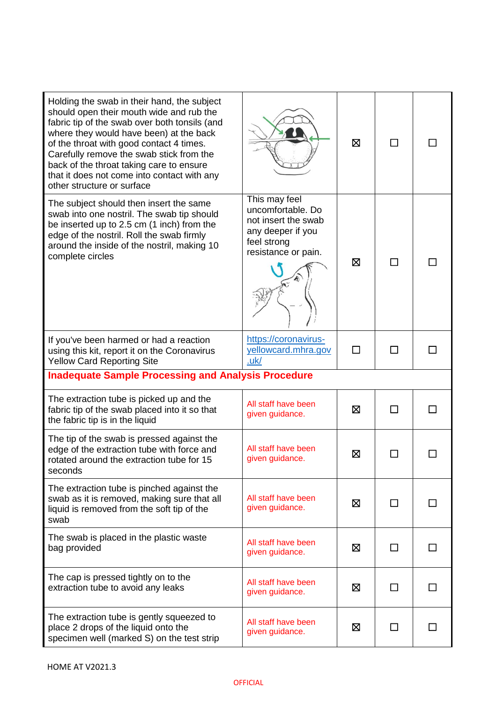| Holding the swab in their hand, the subject<br>should open their mouth wide and rub the<br>fabric tip of the swab over both tonsils (and<br>where they would have been) at the back<br>of the throat with good contact 4 times.<br>Carefully remove the swab stick from the<br>back of the throat taking care to ensure<br>that it does not come into contact with any<br>other structure or surface |                                                                                                                      | ⊠      | П            |    |  |
|------------------------------------------------------------------------------------------------------------------------------------------------------------------------------------------------------------------------------------------------------------------------------------------------------------------------------------------------------------------------------------------------------|----------------------------------------------------------------------------------------------------------------------|--------|--------------|----|--|
| The subject should then insert the same<br>swab into one nostril. The swab tip should<br>be inserted up to 2.5 cm (1 inch) from the<br>edge of the nostril. Roll the swab firmly<br>around the inside of the nostril, making 10<br>complete circles                                                                                                                                                  | This may feel<br>uncomfortable. Do<br>not insert the swab<br>any deeper if you<br>feel strong<br>resistance or pain. | ⊠      |              |    |  |
| If you've been harmed or had a reaction<br>using this kit, report it on the Coronavirus<br><b>Yellow Card Reporting Site</b>                                                                                                                                                                                                                                                                         | https://coronavirus-<br>yellowcard.mhra.gov<br>uk/                                                                   | $\Box$ | П            |    |  |
| <b>Inadequate Sample Processing and Analysis Procedure</b>                                                                                                                                                                                                                                                                                                                                           |                                                                                                                      |        |              |    |  |
|                                                                                                                                                                                                                                                                                                                                                                                                      |                                                                                                                      |        |              |    |  |
| The extraction tube is picked up and the<br>fabric tip of the swab placed into it so that<br>the fabric tip is in the liquid                                                                                                                                                                                                                                                                         | All staff have been<br>given guidance.                                                                               | 区      | П            | ΙI |  |
| The tip of the swab is pressed against the<br>edge of the extraction tube with force and<br>rotated around the extraction tube for 15<br>seconds                                                                                                                                                                                                                                                     | All staff have been<br>given guidance.                                                                               | ⊠      |              |    |  |
| The extraction tube is pinched against the<br>swab as it is removed, making sure that all<br>liquid is removed from the soft tip of the<br>swab                                                                                                                                                                                                                                                      | All staff have been<br>given guidance.                                                                               | ⊠      | $\mathsf{L}$ |    |  |
| The swab is placed in the plastic waste<br>bag provided                                                                                                                                                                                                                                                                                                                                              | All staff have been<br>given guidance.                                                                               | ⊠      | $\Box$       |    |  |
| The cap is pressed tightly on to the<br>extraction tube to avoid any leaks                                                                                                                                                                                                                                                                                                                           | All staff have been<br>given guidance.                                                                               | ⊠      |              |    |  |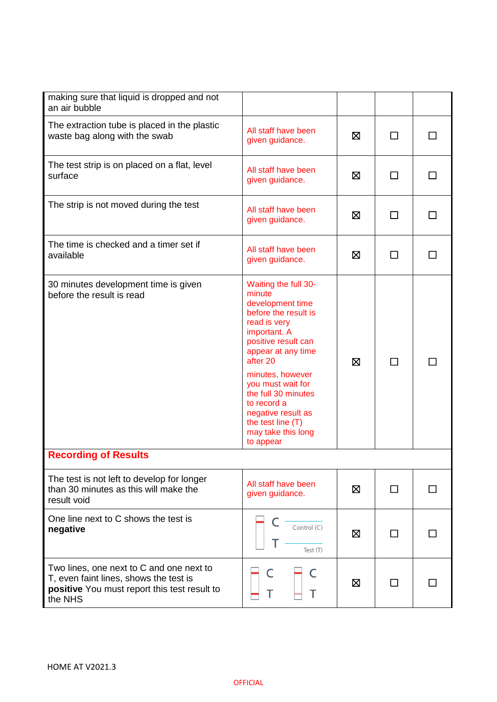| making sure that liquid is dropped and not<br>an air bubble                                                                                   |                                                                                                                                                                                                                                                                                                                                  |   |   |  |
|-----------------------------------------------------------------------------------------------------------------------------------------------|----------------------------------------------------------------------------------------------------------------------------------------------------------------------------------------------------------------------------------------------------------------------------------------------------------------------------------|---|---|--|
| The extraction tube is placed in the plastic<br>waste bag along with the swab                                                                 | All staff have been<br>given guidance.                                                                                                                                                                                                                                                                                           | ⊠ | □ |  |
| The test strip is on placed on a flat, level<br>surface                                                                                       | All staff have been<br>given guidance.                                                                                                                                                                                                                                                                                           | ⊠ | П |  |
| The strip is not moved during the test                                                                                                        | All staff have been<br>given guidance.                                                                                                                                                                                                                                                                                           | ⊠ | П |  |
| The time is checked and a timer set if<br>available                                                                                           | All staff have been<br>given guidance.                                                                                                                                                                                                                                                                                           | ⊠ | □ |  |
| 30 minutes development time is given<br>before the result is read                                                                             | Waiting the full 30-<br>minute<br>development time<br>before the result is<br>read is very<br>important. A<br>positive result can<br>appear at any time<br>after 20<br>minutes, however<br>you must wait for<br>the full 30 minutes<br>to record a<br>negative result as<br>the test line (T)<br>may take this long<br>to appear | 区 | П |  |
| <b>Recording of Results</b>                                                                                                                   |                                                                                                                                                                                                                                                                                                                                  |   |   |  |
| The test is not left to develop for longer<br>than 30 minutes as this will make the<br>result void                                            | All staff have been<br>given guidance.                                                                                                                                                                                                                                                                                           | 区 |   |  |
| One line next to C shows the test is<br>negative                                                                                              | Control (C)<br>Test (T)                                                                                                                                                                                                                                                                                                          | ⊠ |   |  |
| Two lines, one next to C and one next to<br>T, even faint lines, shows the test is<br>positive You must report this test result to<br>the NHS | Τ<br>Т                                                                                                                                                                                                                                                                                                                           | ⊠ |   |  |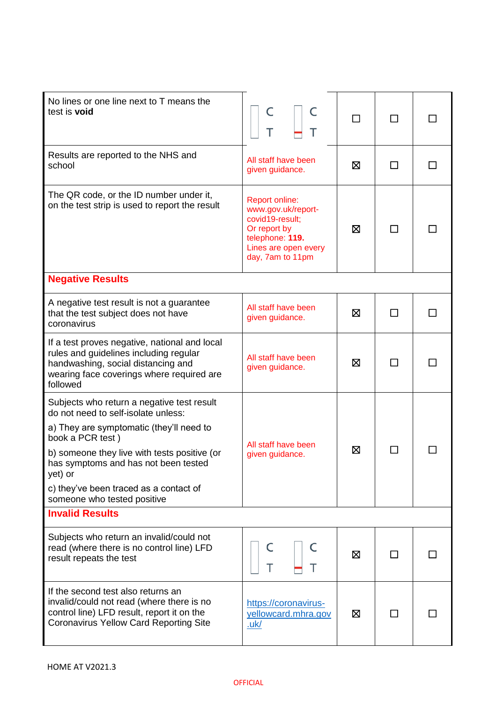| No lines or one line next to T means the<br>test is void                                                                                                                                                                                                                                                                      | C<br>Т<br>т                                                                                                                                   |   |   |    |
|-------------------------------------------------------------------------------------------------------------------------------------------------------------------------------------------------------------------------------------------------------------------------------------------------------------------------------|-----------------------------------------------------------------------------------------------------------------------------------------------|---|---|----|
| Results are reported to the NHS and<br>school                                                                                                                                                                                                                                                                                 | All staff have been<br>given guidance.                                                                                                        | ⊠ |   |    |
| The QR code, or the ID number under it,<br>on the test strip is used to report the result                                                                                                                                                                                                                                     | <b>Report online:</b><br>www.gov.uk/report-<br>covid19-result;<br>Or report by<br>telephone: 119.<br>Lines are open every<br>day, 7am to 11pm | ⊠ |   |    |
| <b>Negative Results</b>                                                                                                                                                                                                                                                                                                       |                                                                                                                                               |   |   |    |
| A negative test result is not a guarantee<br>that the test subject does not have<br>coronavirus                                                                                                                                                                                                                               | All staff have been<br>given guidance.                                                                                                        | X | П | ΙI |
| If a test proves negative, national and local<br>rules and guidelines including regular<br>handwashing, social distancing and<br>wearing face coverings where required are<br>followed                                                                                                                                        | All staff have been<br>given guidance.                                                                                                        | ⊠ |   |    |
| Subjects who return a negative test result<br>do not need to self-isolate unless:<br>a) They are symptomatic (they'll need to<br>book a PCR test)<br>b) someone they live with tests positive (or<br>has symptoms and has not been tested<br>yet) or<br>c) they've been traced as a contact of<br>someone who tested positive | All staff have been<br>given guidance.                                                                                                        | ⊠ |   |    |
| <b>Invalid Results</b>                                                                                                                                                                                                                                                                                                        |                                                                                                                                               |   |   |    |
| Subjects who return an invalid/could not<br>read (where there is no control line) LFD<br>result repeats the test                                                                                                                                                                                                              | T<br>T                                                                                                                                        | ⊠ |   |    |
| If the second test also returns an<br>invalid/could not read (where there is no<br>control line) LFD result, report it on the<br><b>Coronavirus Yellow Card Reporting Site</b>                                                                                                                                                | https://coronavirus-<br>yellowcard.mhra.gov<br><u>.uk/</u>                                                                                    | ⊠ |   |    |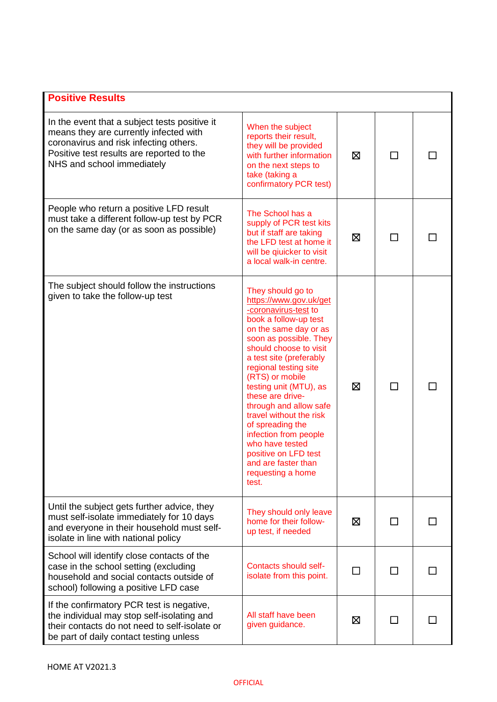| <b>Positive Results</b>                                                                                                                                                                                      |                                                                                                                                                                                                                                                                                                                                                                                                                                                                                                  |   |              |  |
|--------------------------------------------------------------------------------------------------------------------------------------------------------------------------------------------------------------|--------------------------------------------------------------------------------------------------------------------------------------------------------------------------------------------------------------------------------------------------------------------------------------------------------------------------------------------------------------------------------------------------------------------------------------------------------------------------------------------------|---|--------------|--|
| In the event that a subject tests positive it<br>means they are currently infected with<br>coronavirus and risk infecting others.<br>Positive test results are reported to the<br>NHS and school immediately | When the subject<br>reports their result,<br>they will be provided<br>with further information<br>on the next steps to<br>take (taking a<br>confirmatory PCR test)                                                                                                                                                                                                                                                                                                                               | X | $\mathsf{L}$ |  |
| People who return a positive LFD result<br>must take a different follow-up test by PCR<br>on the same day (or as soon as possible)                                                                           | The School has a<br>supply of PCR test kits<br>but if staff are taking<br>the LFD test at home it<br>will be qiuicker to visit<br>a local walk-in centre.                                                                                                                                                                                                                                                                                                                                        | ⊠ |              |  |
| The subject should follow the instructions<br>given to take the follow-up test                                                                                                                               | They should go to<br>https://www.gov.uk/get<br>-coronavirus-test to<br>book a follow-up test<br>on the same day or as<br>soon as possible. They<br>should choose to visit<br>a test site (preferably<br>regional testing site<br>(RTS) or mobile<br>testing unit (MTU), as<br>these are drive-<br>through and allow safe<br>travel without the risk<br>of spreading the<br>infection from people<br>who have tested<br>positive on LFD test<br>and are faster than<br>requesting a home<br>test. | X | $\Box$       |  |
| Until the subject gets further advice, they<br>must self-isolate immediately for 10 days<br>and everyone in their household must self-<br>isolate in line with national policy                               | They should only leave<br>home for their follow-<br>up test, if needed                                                                                                                                                                                                                                                                                                                                                                                                                           | ⊠ |              |  |
| School will identify close contacts of the<br>case in the school setting (excluding<br>household and social contacts outside of<br>school) following a positive LFD case                                     | Contacts should self-<br>isolate from this point.                                                                                                                                                                                                                                                                                                                                                                                                                                                | П |              |  |
| If the confirmatory PCR test is negative,<br>the individual may stop self-isolating and<br>their contacts do not need to self-isolate or<br>be part of daily contact testing unless                          | All staff have been<br>given guidance.                                                                                                                                                                                                                                                                                                                                                                                                                                                           | ⊠ | ΙI           |  |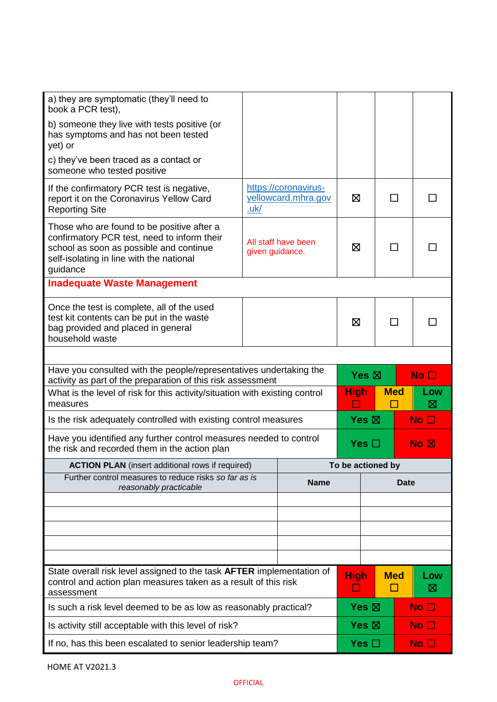| a) they are symptomatic (they'll need to<br>book a PCR test),                                                                                                                                |                 |                                             |                                  |                 |              |                 |
|----------------------------------------------------------------------------------------------------------------------------------------------------------------------------------------------|-----------------|---------------------------------------------|----------------------------------|-----------------|--------------|-----------------|
| b) someone they live with tests positive (or<br>has symptoms and has not been tested<br>yet) or                                                                                              |                 |                                             |                                  |                 |              |                 |
| c) they've been traced as a contact or<br>someone who tested positive                                                                                                                        |                 |                                             |                                  |                 |              |                 |
| If the confirmatory PCR test is negative,<br>report it on the Coronavirus Yellow Card<br><b>Reporting Site</b>                                                                               | <u>.uk/</u>     | https://coronavirus-<br>yellowcard.mhra.gov | ⊠                                |                 | $\mathsf{L}$ |                 |
| Those who are found to be positive after a<br>confirmatory PCR test, need to inform their<br>school as soon as possible and continue<br>self-isolating in line with the national<br>guidance | given guidance. | All staff have been                         | ⊠                                |                 |              |                 |
| <b>Inadequate Waste Management</b>                                                                                                                                                           |                 |                                             |                                  |                 |              |                 |
| Once the test is complete, all of the used<br>test kit contents can be put in the waste<br>bag provided and placed in general<br>household waste                                             |                 |                                             | ⊠                                |                 |              |                 |
|                                                                                                                                                                                              |                 |                                             |                                  |                 |              |                 |
| Have you consulted with the people/representatives undertaking the<br>activity as part of the preparation of this risk assessment                                                            |                 |                                             |                                  | Yes $\boxtimes$ |              | No <sub>1</sub> |
| What is the level of risk for this activity/situation with existing control<br>measures                                                                                                      |                 |                                             | <b>High</b>                      |                 | <b>Med</b>   | Low<br>⊠        |
| Is the risk adequately controlled with existing control measures                                                                                                                             |                 |                                             |                                  | Yes $\boxtimes$ |              | No <sub>1</sub> |
| Have you identified any further control measures needed to control<br>the risk and recorded them in the action plan                                                                          |                 |                                             | Yes $\square$<br>No <sub>N</sub> |                 |              |                 |
| <b>ACTION PLAN</b> (insert additional rows if required)                                                                                                                                      |                 |                                             | To be actioned by                |                 |              |                 |
| Further control measures to reduce risks so far as is<br>reasonably practicable                                                                                                              |                 | <b>Name</b>                                 | <b>Date</b>                      |                 |              |                 |
|                                                                                                                                                                                              |                 |                                             |                                  |                 |              |                 |
|                                                                                                                                                                                              |                 |                                             |                                  |                 |              |                 |
|                                                                                                                                                                                              |                 |                                             |                                  |                 |              |                 |
|                                                                                                                                                                                              |                 |                                             |                                  |                 |              |                 |
| State overall risk level assigned to the task AFTER implementation of<br>control and action plan measures taken as a result of this risk<br>assessment                                       |                 |                                             | <b>High</b>                      |                 | <b>Med</b>   | Low<br>⊠        |
| Is such a risk level deemed to be as low as reasonably practical?                                                                                                                            |                 |                                             | Yes $\boxtimes$                  |                 |              | No <sub>1</sub> |
| Is activity still acceptable with this level of risk?                                                                                                                                        |                 |                                             |                                  | Yes $\boxtimes$ |              | No <sub>1</sub> |
| If no, has this been escalated to senior leadership team?                                                                                                                                    |                 |                                             |                                  | Yes $\Box$      |              | No $\square$    |